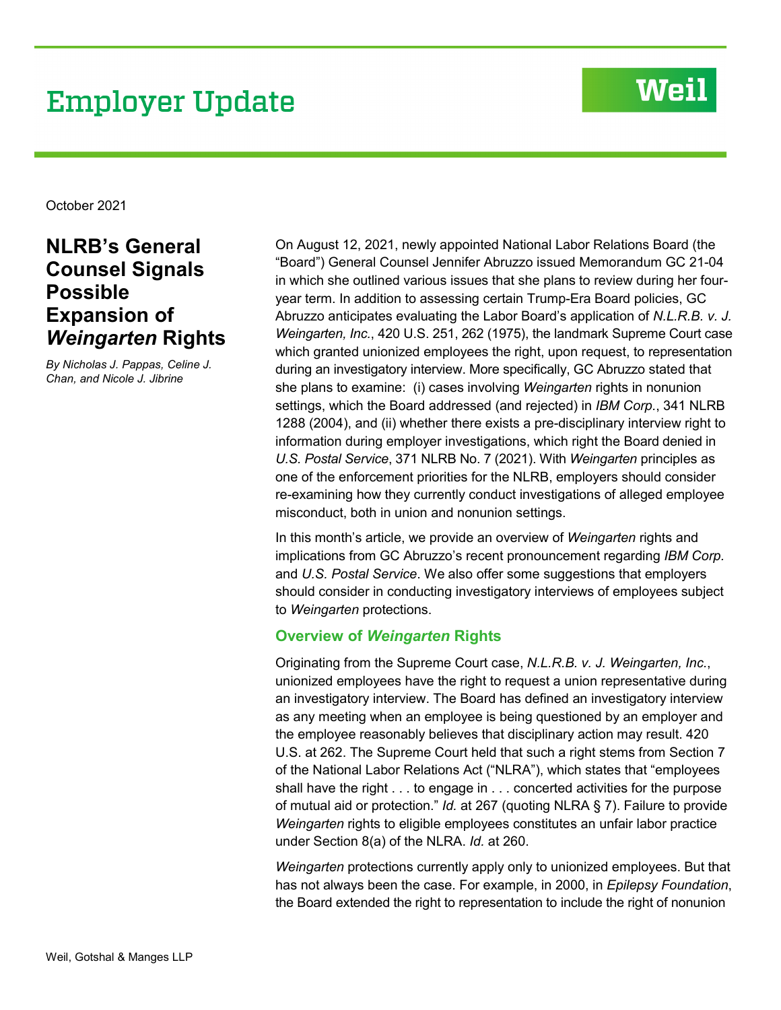# **Employer Update**

## **Weil**

October 2021

## **NLRB's General Counsel Signals Possible Expansion of**  *Weingarten* **Rights**

*By Nicholas J. Pappas, Celine J. Chan, and Nicole J. Jibrine*

On August 12, 2021, newly appointed National Labor Relations Board (the "Board") General Counsel Jennifer Abruzzo issued Memorandum GC 21-04 in which she outlined various issues that she plans to review during her fouryear term. In addition to assessing certain Trump-Era Board policies, GC Abruzzo anticipates evaluating the Labor Board's application of *N.L.R.B. v. J. Weingarten, Inc.*, 420 U.S. 251, 262 (1975), the landmark Supreme Court case which granted unionized employees the right, upon request, to representation during an investigatory interview. More specifically, GC Abruzzo stated that she plans to examine: (i) cases involving *Weingarten* rights in nonunion settings, which the Board addressed (and rejected) in *IBM Corp.*, 341 NLRB 1288 (2004), and (ii) whether there exists a pre-disciplinary interview right to information during employer investigations, which right the Board denied in *U.S. Postal Service*, 371 NLRB No. 7 (2021). With *Weingarten* principles as one of the enforcement priorities for the NLRB, employers should consider re-examining how they currently conduct investigations of alleged employee misconduct, both in union and nonunion settings.

In this month's article, we provide an overview of *Weingarten* rights and implications from GC Abruzzo's recent pronouncement regarding *IBM Corp.*  and *U.S. Postal Service*. We also offer some suggestions that employers should consider in conducting investigatory interviews of employees subject to *Weingarten* protections.

### **Overview of** *Weingarten* **Rights**

Originating from the Supreme Court case, *N.L.R.B. v. J. Weingarten, Inc.*, unionized employees have the right to request a union representative during an investigatory interview. The Board has defined an investigatory interview as any meeting when an employee is being questioned by an employer and the employee reasonably believes that disciplinary action may result. 420 U.S. at 262. The Supreme Court held that such a right stems from Section 7 of the National Labor Relations Act ("NLRA"), which states that "employees shall have the right . . . to engage in . . . concerted activities for the purpose of mutual aid or protection." *Id.* at 267 (quoting NLRA § 7). Failure to provide *Weingarten* rights to eligible employees constitutes an unfair labor practice under Section 8(a) of the NLRA. *Id.* at 260.

*Weingarten* protections currently apply only to unionized employees. But that has not always been the case. For example, in 2000, in *Epilepsy Foundation*, the Board extended the right to representation to include the right of nonunion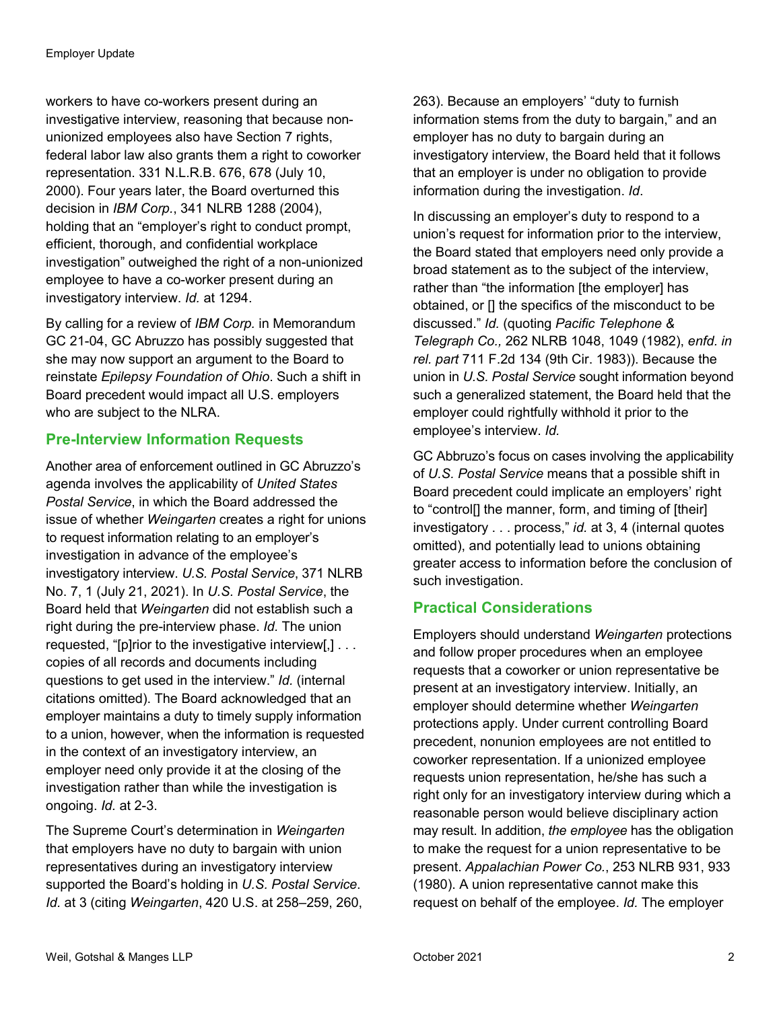workers to have co-workers present during an investigative interview, reasoning that because nonunionized employees also have Section 7 rights, federal labor law also grants them a right to coworker representation. 331 N.L.R.B. 676, 678 (July 10, 2000). Four years later, the Board overturned this decision in *IBM Corp.*, 341 NLRB 1288 (2004), holding that an "employer's right to conduct prompt, efficient, thorough, and confidential workplace investigation" outweighed the right of a non-unionized employee to have a co-worker present during an investigatory interview. *Id.* at 1294.

By calling for a review of *IBM Corp.* in Memorandum GC 21-04, GC Abruzzo has possibly suggested that she may now support an argument to the Board to reinstate *Epilepsy Foundation of Ohio*. Such a shift in Board precedent would impact all U.S. employers who are subject to the NLRA.

### **Pre-Interview Information Requests**

Another area of enforcement outlined in GC Abruzzo's agenda involves the applicability of *United States Postal Service*, in which the Board addressed the issue of whether *Weingarten* creates a right for unions to request information relating to an employer's investigation in advance of the employee's investigatory interview. *U.S. Postal Service*, 371 NLRB No. 7, 1 (July 21, 2021). In *U.S. Postal Service*, the Board held that *Weingarten* did not establish such a right during the pre-interview phase. *Id.* The union requested, "[p]rior to the investigative interview[,] . . . copies of all records and documents including questions to get used in the interview." *Id.* (internal citations omitted). The Board acknowledged that an employer maintains a duty to timely supply information to a union, however, when the information is requested in the context of an investigatory interview, an employer need only provide it at the closing of the investigation rather than while the investigation is ongoing. *Id.* at 2-3.

The Supreme Court's determination in *Weingarten* that employers have no duty to bargain with union representatives during an investigatory interview supported the Board's holding in *U.S. Postal Service*. *Id.* at 3 (citing *Weingarten*, 420 U.S. at 258–259, 260, 263). Because an employers' "duty to furnish information stems from the duty to bargain," and an employer has no duty to bargain during an investigatory interview, the Board held that it follows that an employer is under no obligation to provide information during the investigation. *Id*.

In discussing an employer's duty to respond to a union's request for information prior to the interview, the Board stated that employers need only provide a broad statement as to the subject of the interview, rather than "the information [the employer] has obtained, or [] the specifics of the misconduct to be discussed." *Id.* (quoting *Pacific Telephone & Telegraph Co.,* 262 NLRB 1048, 1049 (1982), *enfd. in rel. part* 711 F.2d 134 (9th Cir. 1983)). Because the union in *U.S. Postal Service* sought information beyond such a generalized statement, the Board held that the employer could rightfully withhold it prior to the employee's interview. *Id.*

GC Abbruzo's focus on cases involving the applicability of *U.S. Postal Service* means that a possible shift in Board precedent could implicate an employers' right to "control[] the manner, form, and timing of [their] investigatory . . . process," *id.* at 3, 4 (internal quotes omitted), and potentially lead to unions obtaining greater access to information before the conclusion of such investigation.

### **Practical Considerations**

Employers should understand *Weingarten* protections and follow proper procedures when an employee requests that a coworker or union representative be present at an investigatory interview. Initially, an employer should determine whether *Weingarten*  protections apply. Under current controlling Board precedent, nonunion employees are not entitled to coworker representation. If a unionized employee requests union representation, he/she has such a right only for an investigatory interview during which a reasonable person would believe disciplinary action may result. In addition, *the employee* has the obligation to make the request for a union representative to be present. *Appalachian Power Co.*, 253 NLRB 931, 933 (1980). A union representative cannot make this request on behalf of the employee. *Id.* The employer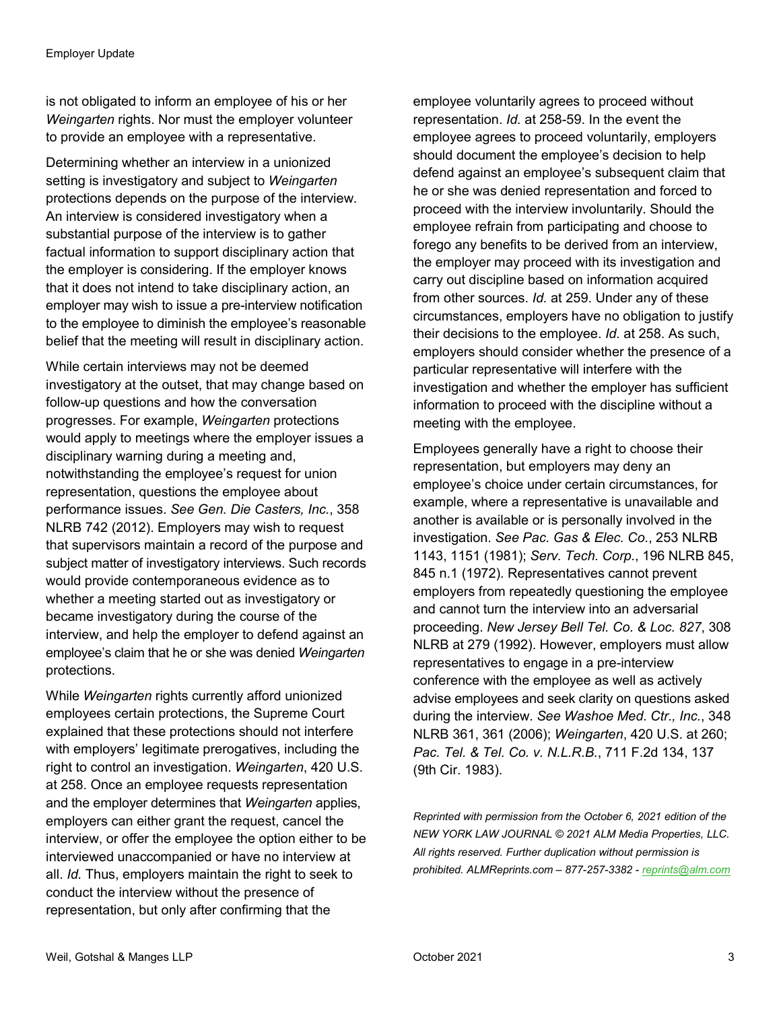is not obligated to inform an employee of his or her *Weingarten* rights. Nor must the employer volunteer to provide an employee with a representative.

Determining whether an interview in a unionized setting is investigatory and subject to *Weingarten*  protections depends on the purpose of the interview. An interview is considered investigatory when a substantial purpose of the interview is to gather factual information to support disciplinary action that the employer is considering. If the employer knows that it does not intend to take disciplinary action, an employer may wish to issue a pre-interview notification to the employee to diminish the employee's reasonable belief that the meeting will result in disciplinary action.

While certain interviews may not be deemed investigatory at the outset, that may change based on follow-up questions and how the conversation progresses. For example, *Weingarten* protections would apply to meetings where the employer issues a disciplinary warning during a meeting and, notwithstanding the employee's request for union representation, questions the employee about performance issues. *See Gen. Die Casters, Inc.*, 358 NLRB 742 (2012). Employers may wish to request that supervisors maintain a record of the purpose and subject matter of investigatory interviews. Such records would provide contemporaneous evidence as to whether a meeting started out as investigatory or became investigatory during the course of the interview, and help the employer to defend against an employee's claim that he or she was denied *Weingarten* protections.

While *Weingarten* rights currently afford unionized employees certain protections, the Supreme Court explained that these protections should not interfere with employers' legitimate prerogatives, including the right to control an investigation. *Weingarten*, 420 U.S. at 258. Once an employee requests representation and the employer determines that *Weingarten* applies, employers can either grant the request, cancel the interview, or offer the employee the option either to be interviewed unaccompanied or have no interview at all. *Id.* Thus, employers maintain the right to seek to conduct the interview without the presence of representation, but only after confirming that the

employee voluntarily agrees to proceed without representation. *Id.* at 258-59. In the event the employee agrees to proceed voluntarily, employers should document the employee's decision to help defend against an employee's subsequent claim that he or she was denied representation and forced to proceed with the interview involuntarily. Should the employee refrain from participating and choose to forego any benefits to be derived from an interview, the employer may proceed with its investigation and carry out discipline based on information acquired from other sources. *Id.* at 259. Under any of these circumstances, employers have no obligation to justify their decisions to the employee. *Id.* at 258. As such, employers should consider whether the presence of a particular representative will interfere with the investigation and whether the employer has sufficient information to proceed with the discipline without a meeting with the employee.

Employees generally have a right to choose their representation, but employers may deny an employee's choice under certain circumstances, for example, where a representative is unavailable and another is available or is personally involved in the investigation. *See Pac. Gas & Elec. Co.*, 253 NLRB 1143, 1151 (1981); *Serv. Tech. Corp.*, 196 NLRB 845, 845 n.1 (1972). Representatives cannot prevent employers from repeatedly questioning the employee and cannot turn the interview into an adversarial proceeding. *New Jersey Bell Tel. Co. & Loc. 827*, 308 NLRB at 279 (1992). However, employers must allow representatives to engage in a pre-interview conference with the employee as well as actively advise employees and seek clarity on questions asked during the interview. *See Washoe Med. Ctr., Inc.*, 348 NLRB 361, 361 (2006); *Weingarten*, 420 U.S. at 260; *Pac. Tel. & Tel. Co. v. N.L.R.B.*, 711 F.2d 134, 137 (9th Cir. 1983).

*Reprinted with permission from the October 6, 2021 edition of the NEW YORK LAW JOURNAL © 2021 ALM Media Properties, LLC. All rights reserved. Further duplication without permission is prohibited. ALMReprints.com – 877-257-3382 - [reprints@alm.com](mailto:reprints@alm.com)*